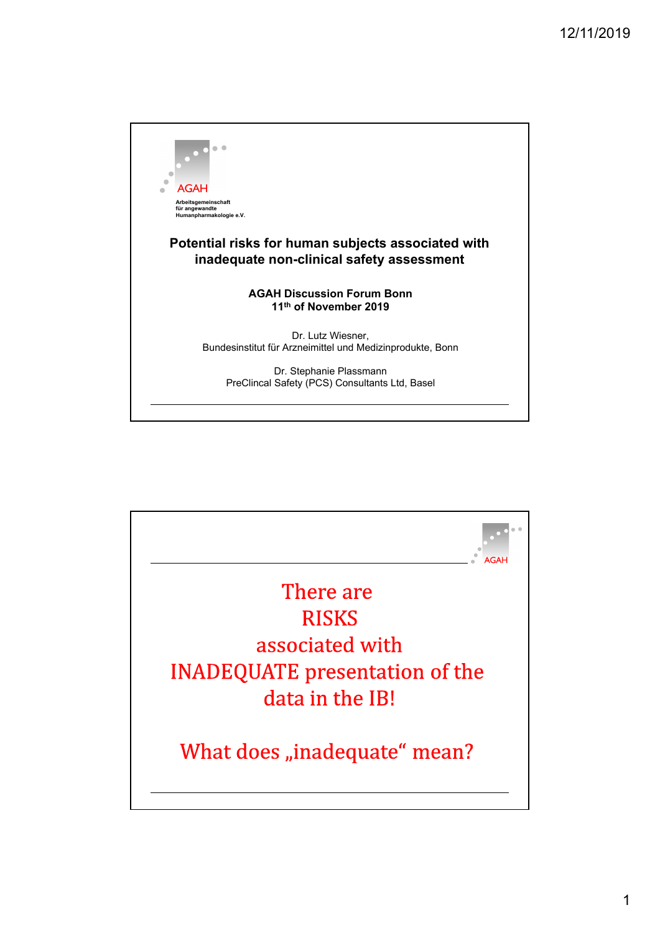

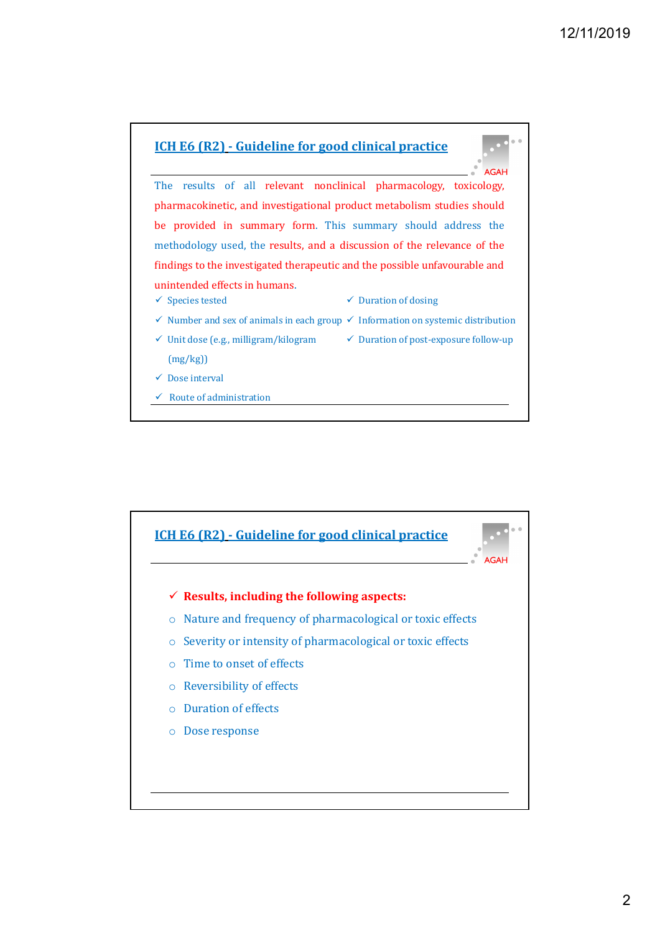

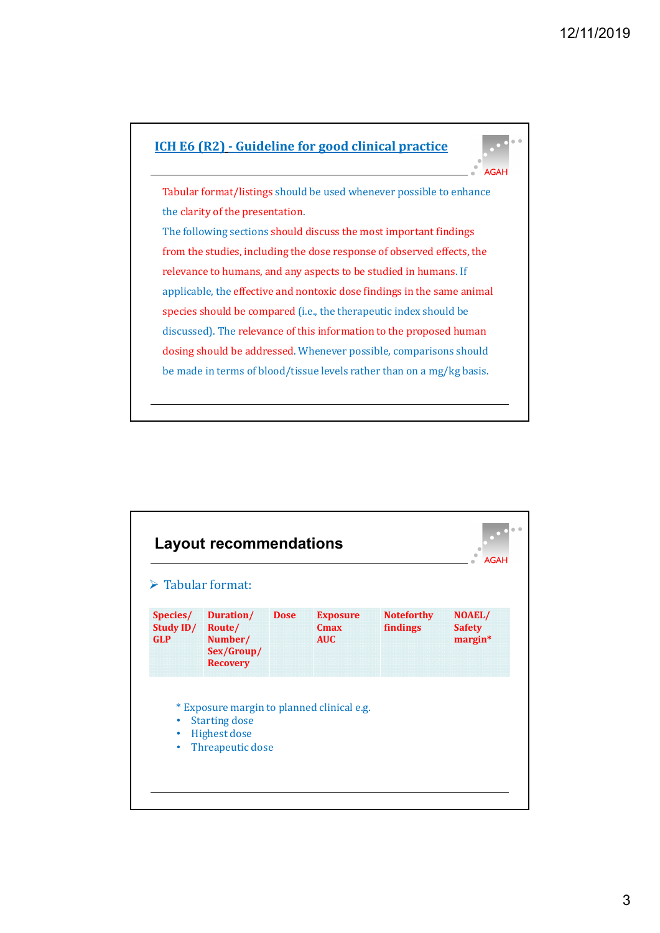

| $\triangleright$ Tabular format:    |                                                                 |             |                                                   |                               |                                    |
|-------------------------------------|-----------------------------------------------------------------|-------------|---------------------------------------------------|-------------------------------|------------------------------------|
| Species/<br>Study ID/<br><b>GLP</b> | Duration/<br>Route/<br>Number/<br>Sex/Group/<br><b>Recovery</b> | <b>Dose</b> | <b>Exposure</b><br>C <sub>max</sub><br><b>AUC</b> | <b>Noteforthy</b><br>findings | NOAEL/<br><b>Safety</b><br>margin* |
|                                     | * Exposure margin to planned clinical e.g.                      |             |                                                   |                               |                                    |
| $\bullet$                           | <b>Starting dose</b><br>Highest dose                            |             |                                                   |                               |                                    |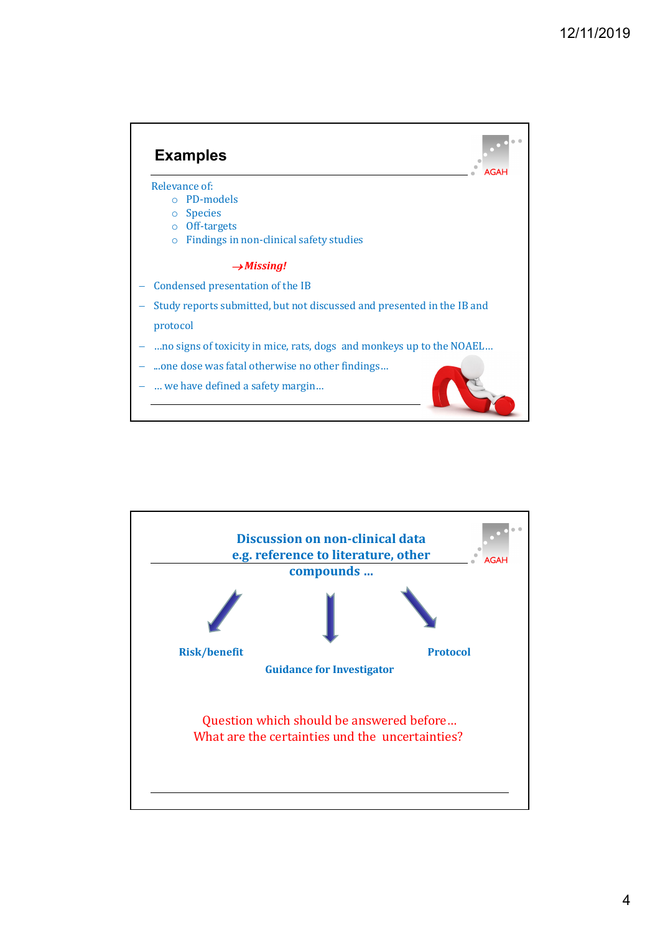

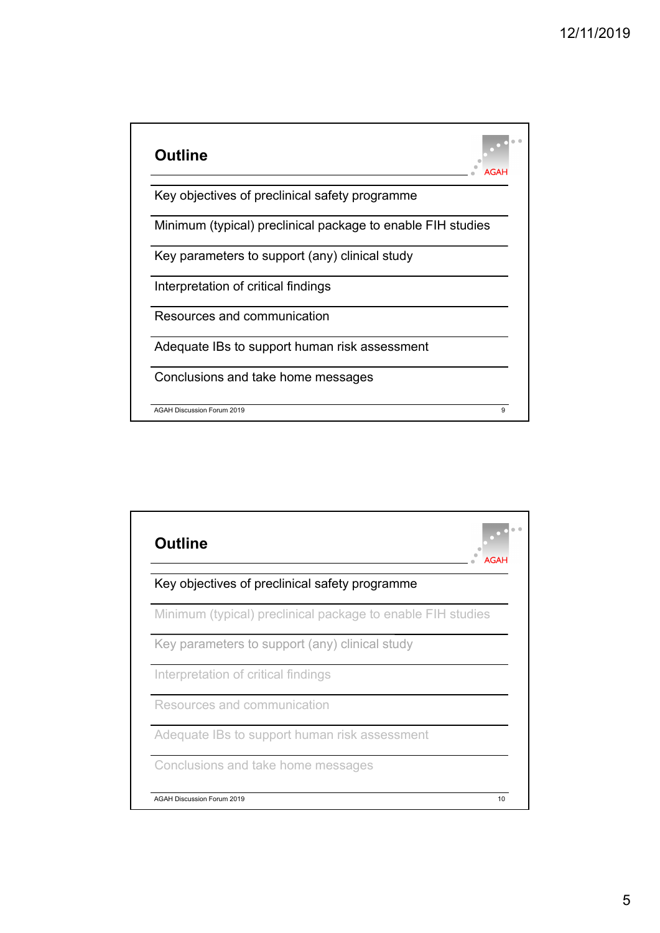

| <b>Outline</b>                                              |    |
|-------------------------------------------------------------|----|
| Key objectives of preclinical safety programme              |    |
| Minimum (typical) preclinical package to enable FIH studies |    |
| Key parameters to support (any) clinical study              |    |
| Interpretation of critical findings                         |    |
| Resources and communication                                 |    |
| Adequate IBs to support human risk assessment               |    |
| Conclusions and take home messages                          |    |
| <b>AGAH Discussion Forum 2019</b>                           | 10 |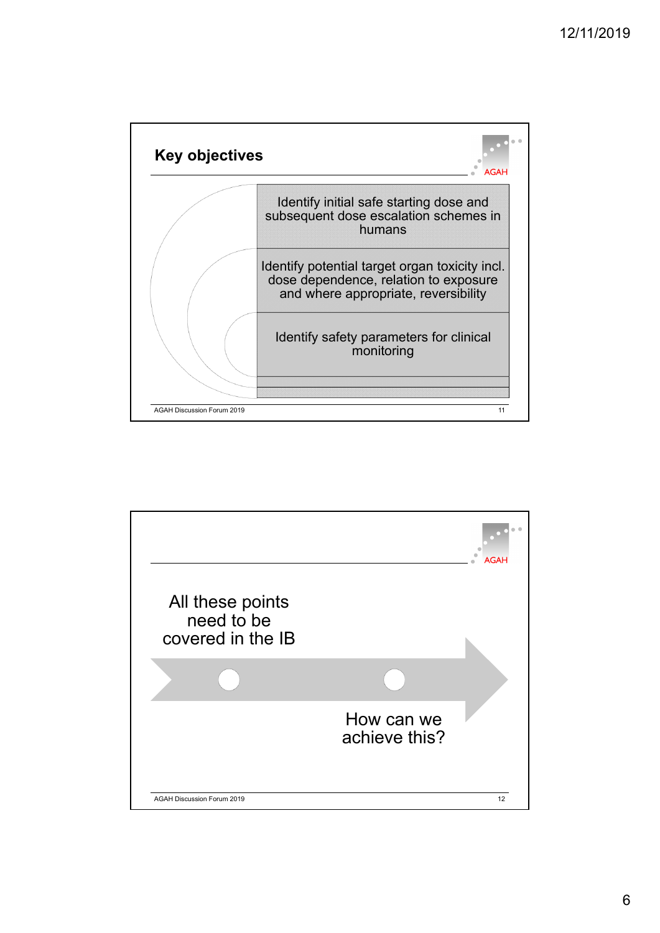

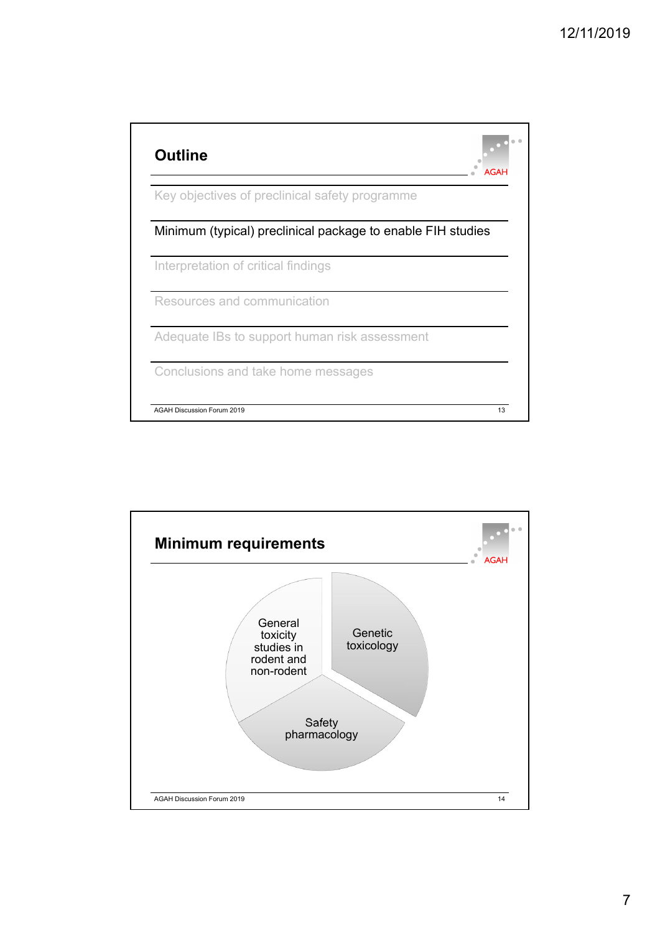

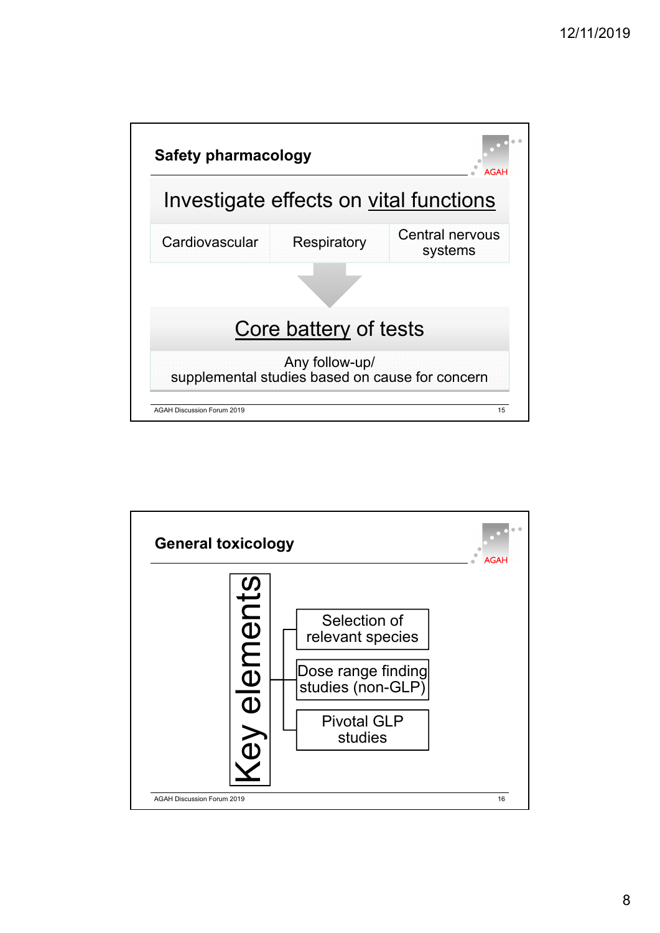

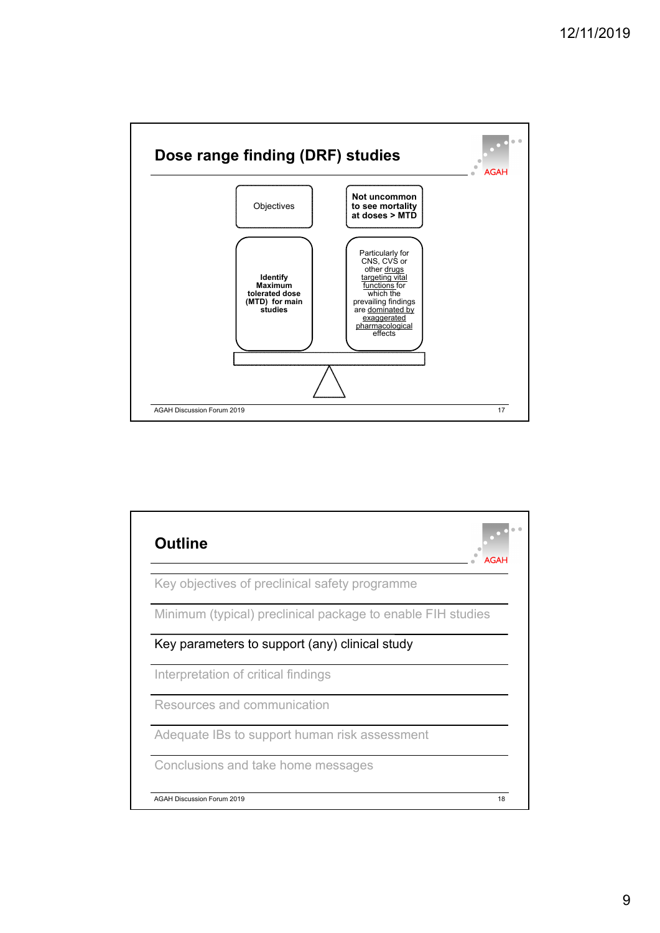

| <b>Outline</b>                                              | <b>AGAH</b> |
|-------------------------------------------------------------|-------------|
| Key objectives of preclinical safety programme              |             |
| Minimum (typical) preclinical package to enable FIH studies |             |
| Key parameters to support (any) clinical study              |             |
| Interpretation of critical findings                         |             |
| Resources and communication                                 |             |
| Adequate IBs to support human risk assessment               |             |
| Conclusions and take home messages                          |             |
| <b>AGAH Discussion Forum 2019</b>                           | 18          |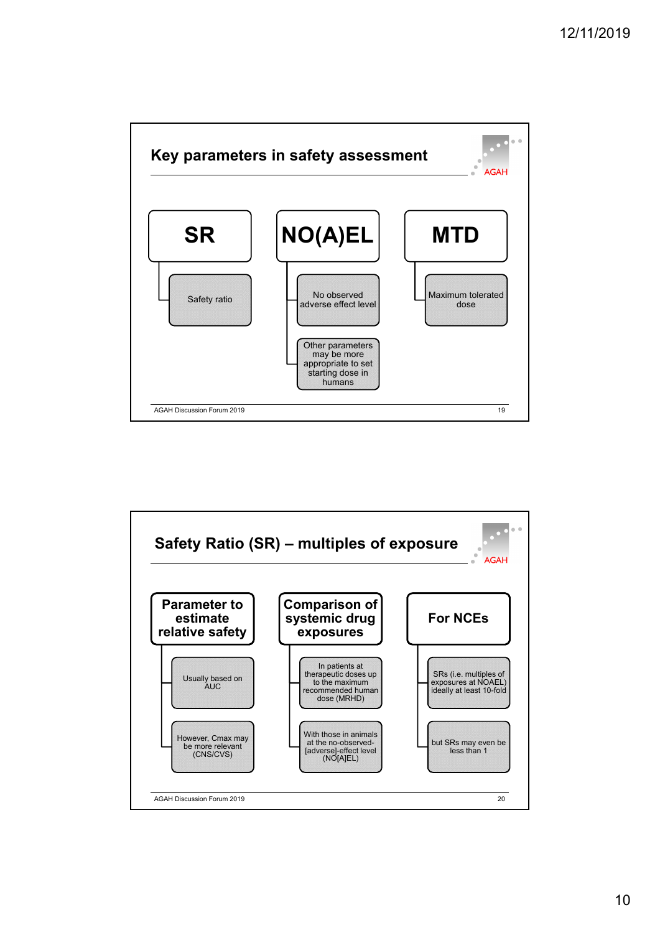

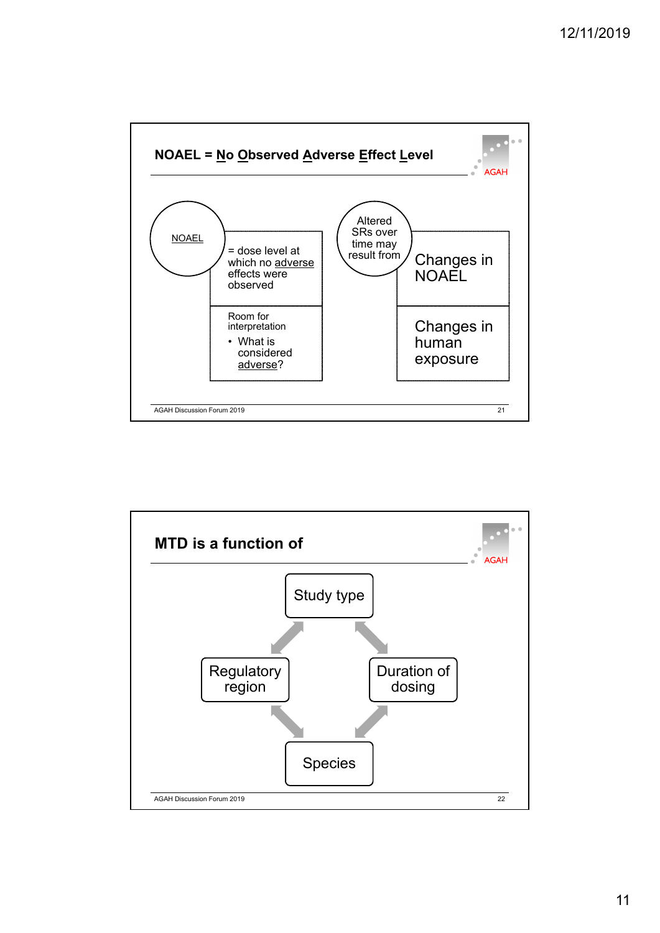

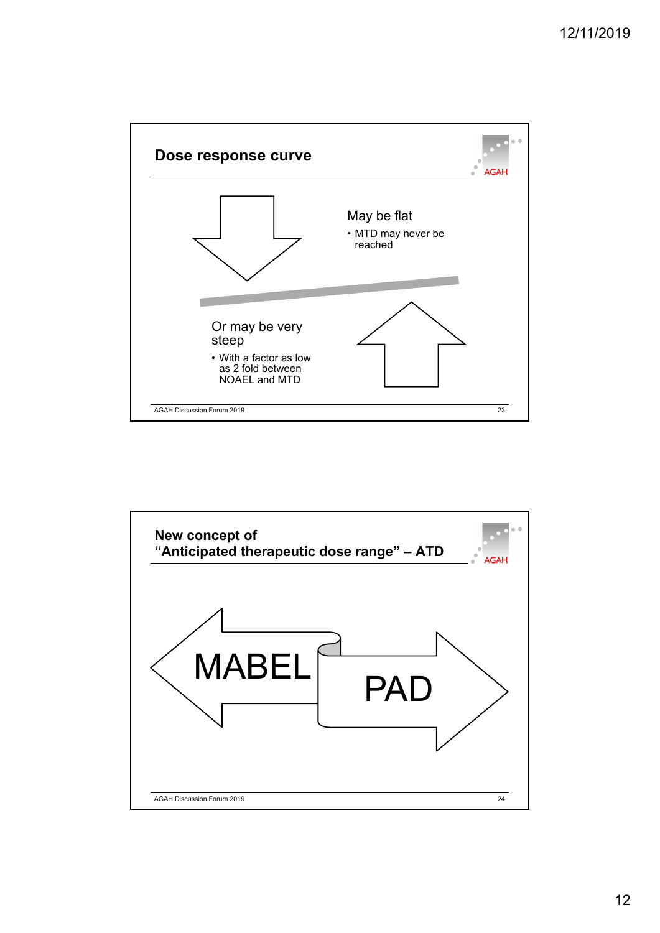

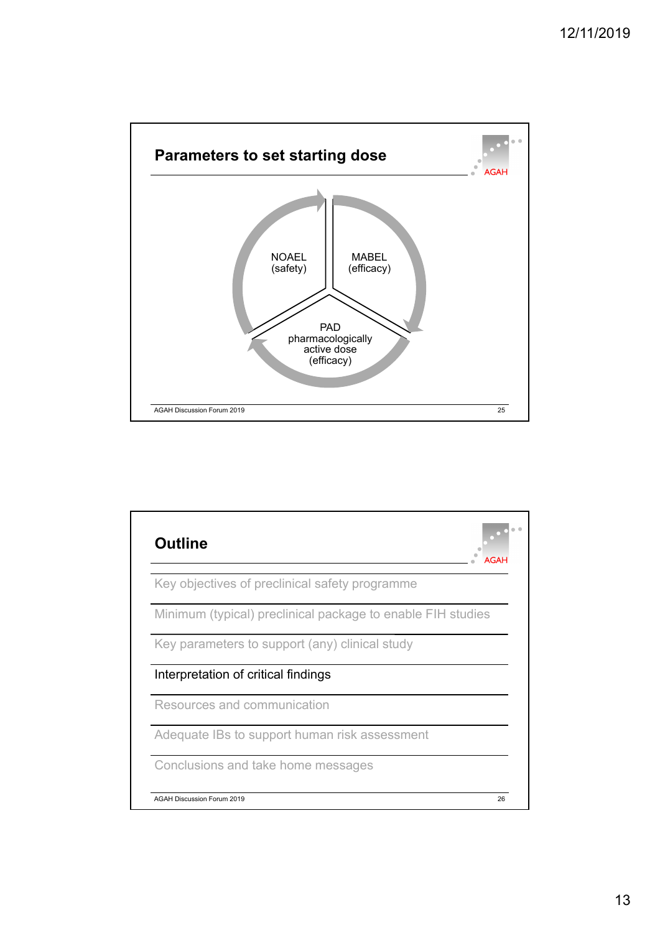

| <b>Outline</b>                                              | <b>AGAH</b> |
|-------------------------------------------------------------|-------------|
| Key objectives of preclinical safety programme              |             |
| Minimum (typical) preclinical package to enable FIH studies |             |
| Key parameters to support (any) clinical study              |             |
| Interpretation of critical findings                         |             |
| Resources and communication                                 |             |
| Adequate IBs to support human risk assessment               |             |
| Conclusions and take home messages                          |             |
| <b>AGAH Discussion Forum 2019</b>                           | 26          |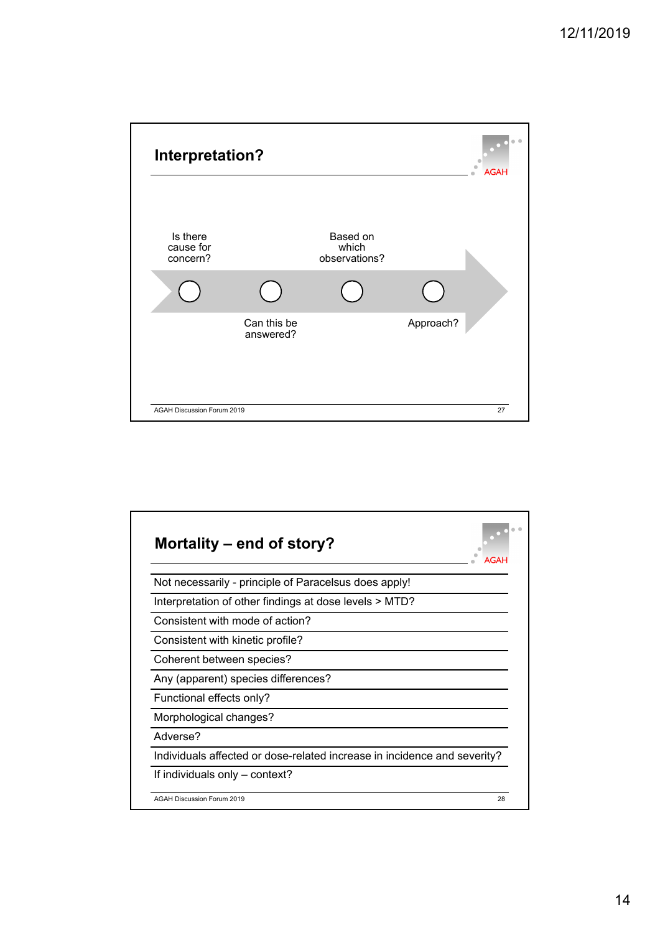

| Mortality – end of story?<br>AGAL                                        |
|--------------------------------------------------------------------------|
| Not necessarily - principle of Paracelsus does apply!                    |
| Interpretation of other findings at dose levels > MTD?                   |
| Consistent with mode of action?                                          |
| Consistent with kinetic profile?                                         |
| Coherent between species?                                                |
| Any (apparent) species differences?                                      |
| Functional effects only?                                                 |
| Morphological changes?                                                   |
| Adverse?                                                                 |
| Individuals affected or dose-related increase in incidence and severity? |
| If individuals only - context?                                           |
| <b>AGAH Discussion Forum 2019</b><br>28                                  |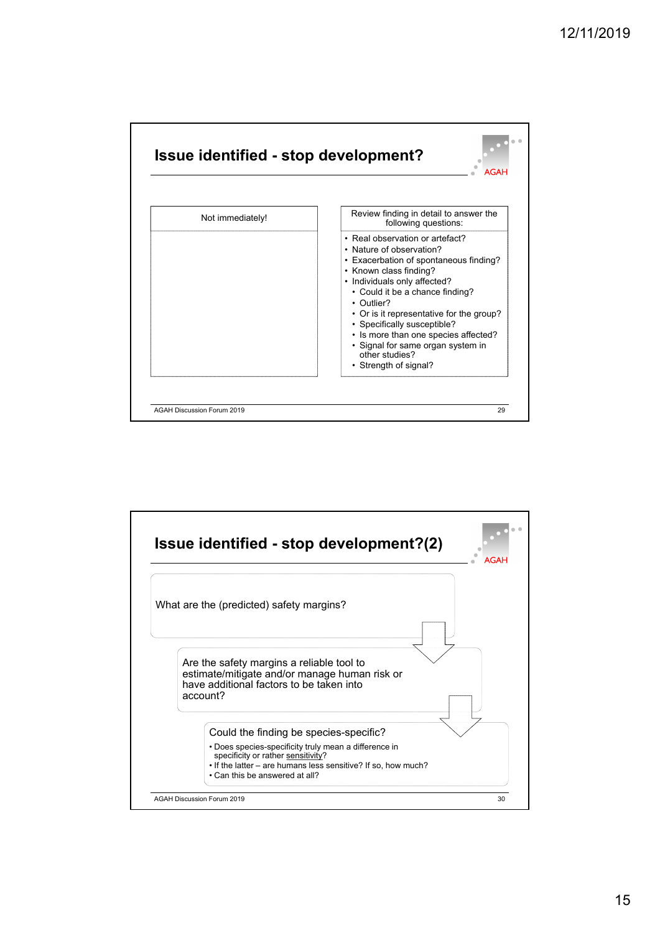

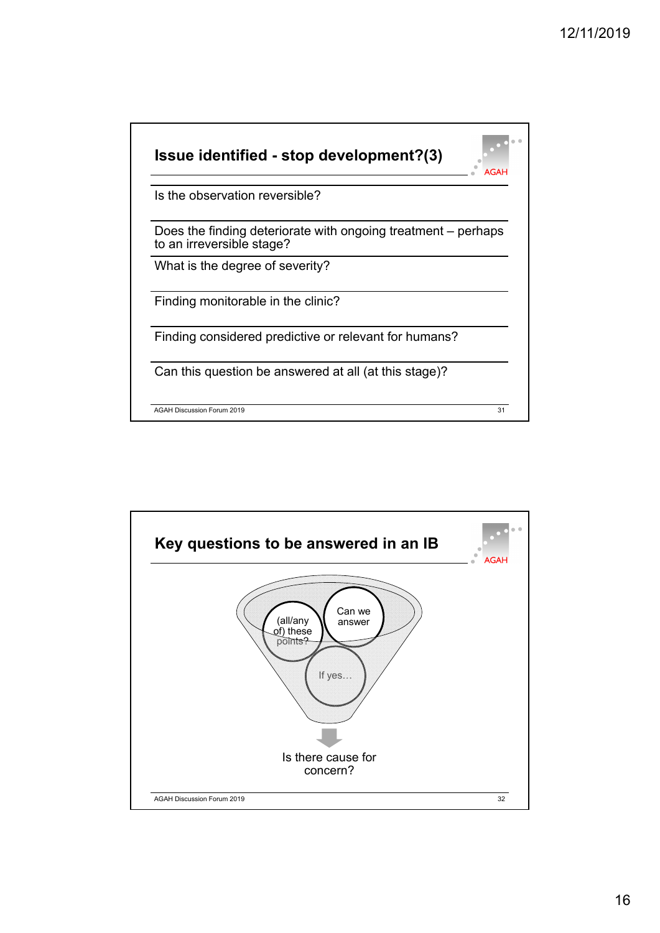

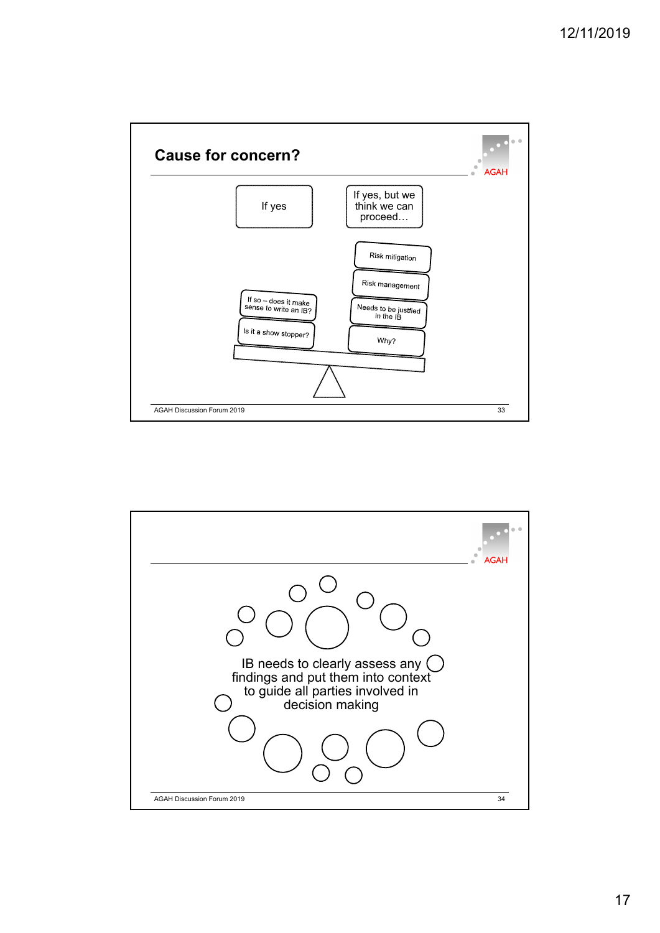

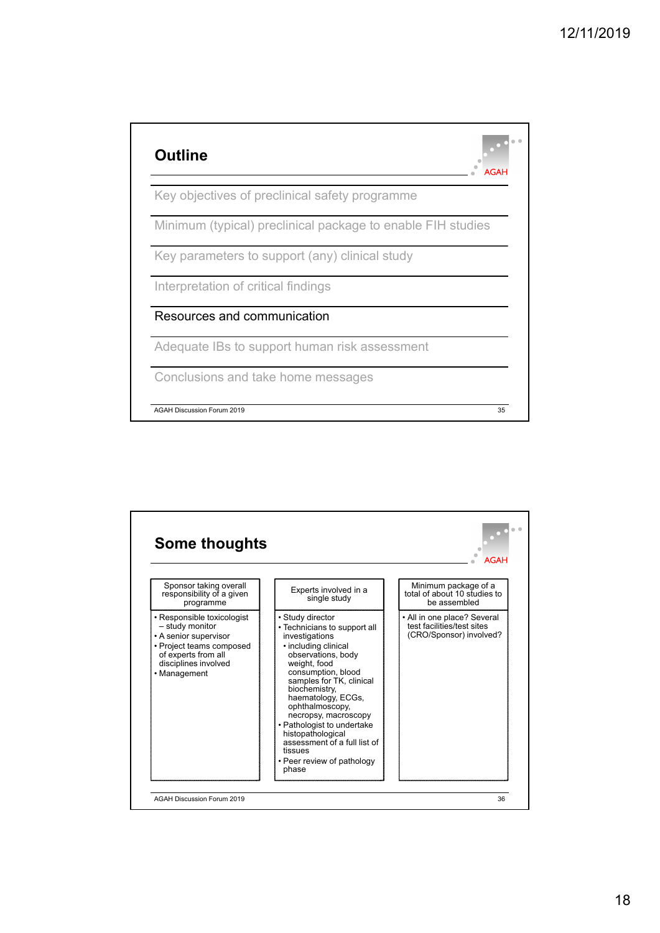

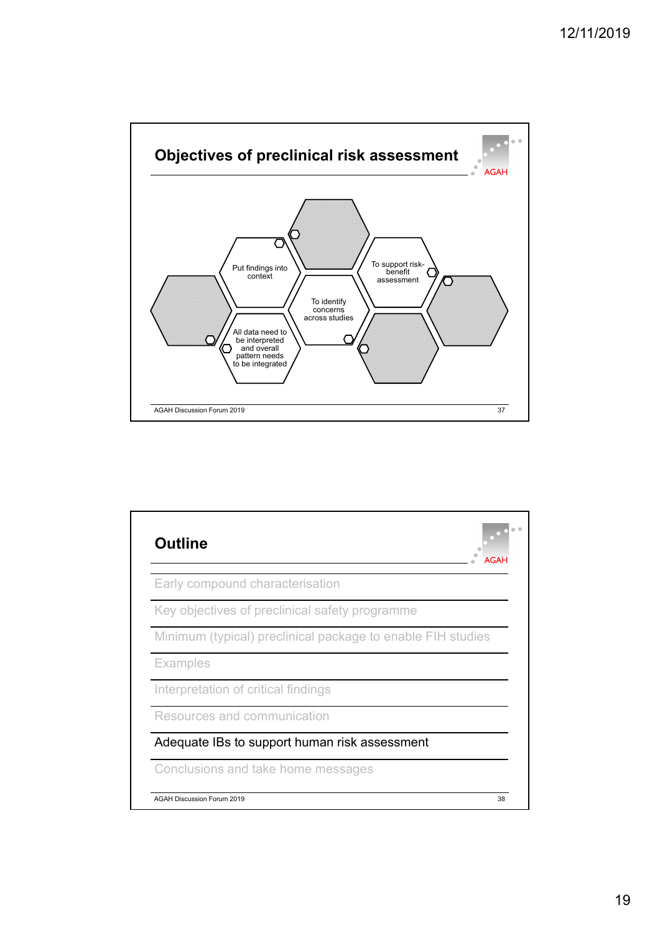

|                 | Early compound characterisation                             |
|-----------------|-------------------------------------------------------------|
|                 | Key objectives of preclinical safety programme              |
|                 | Minimum (typical) preclinical package to enable FIH studies |
| <b>Examples</b> |                                                             |
|                 | Interpretation of critical findings                         |
|                 | Resources and communication                                 |
|                 | Adequate IBs to support human risk assessment               |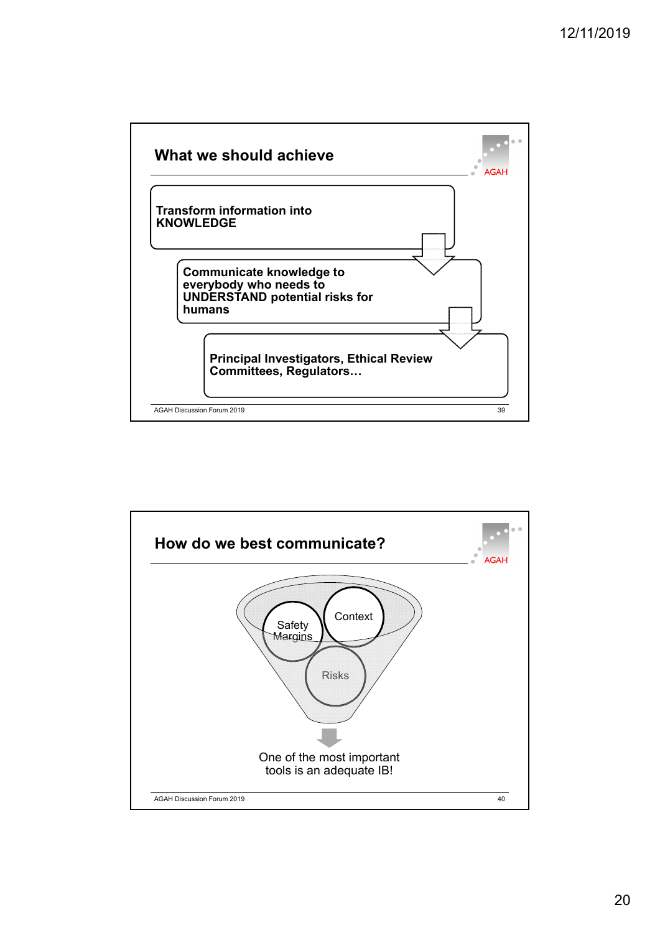

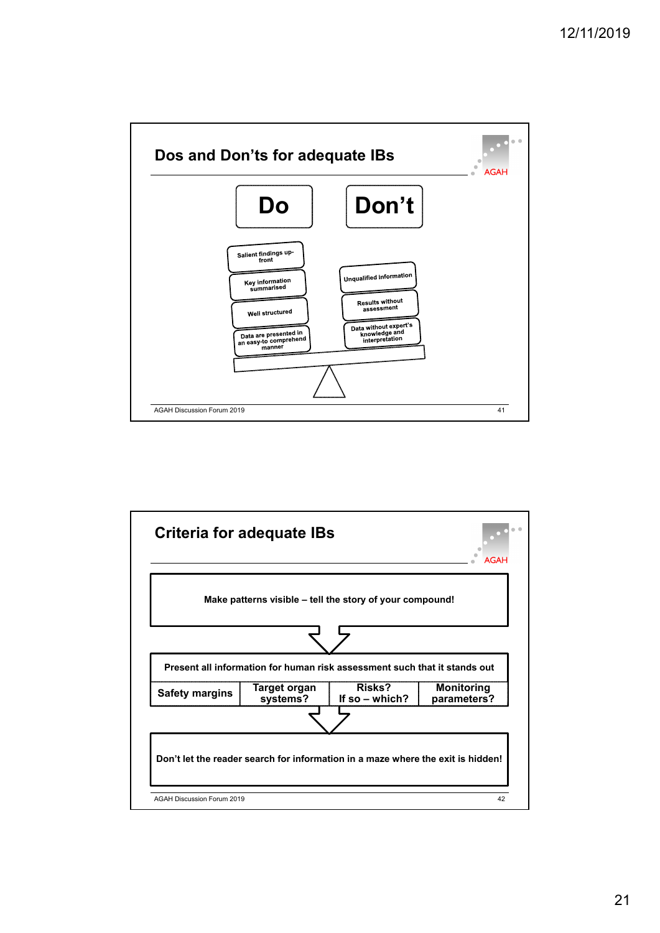

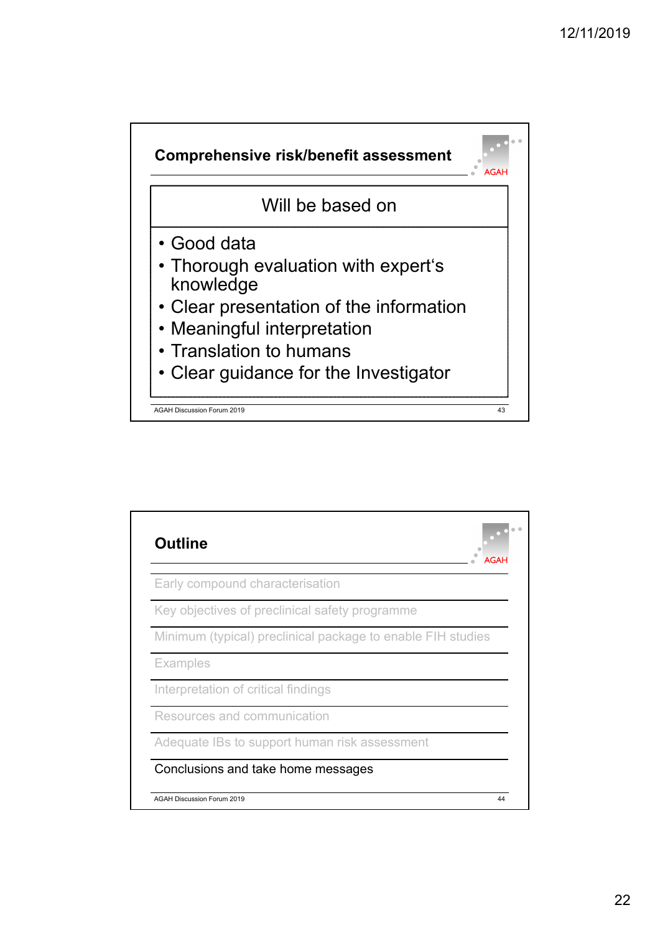

| <b>Outline</b>                                              | AGAH |
|-------------------------------------------------------------|------|
| Early compound characterisation                             |      |
| Key objectives of preclinical safety programme              |      |
| Minimum (typical) preclinical package to enable FIH studies |      |
| <b>Examples</b>                                             |      |
| Interpretation of critical findings                         |      |
| Resources and communication                                 |      |
| Adequate IBs to support human risk assessment               |      |
| Conclusions and take home messages                          |      |
| <b>AGAH Discussion Forum 2019</b>                           | 44   |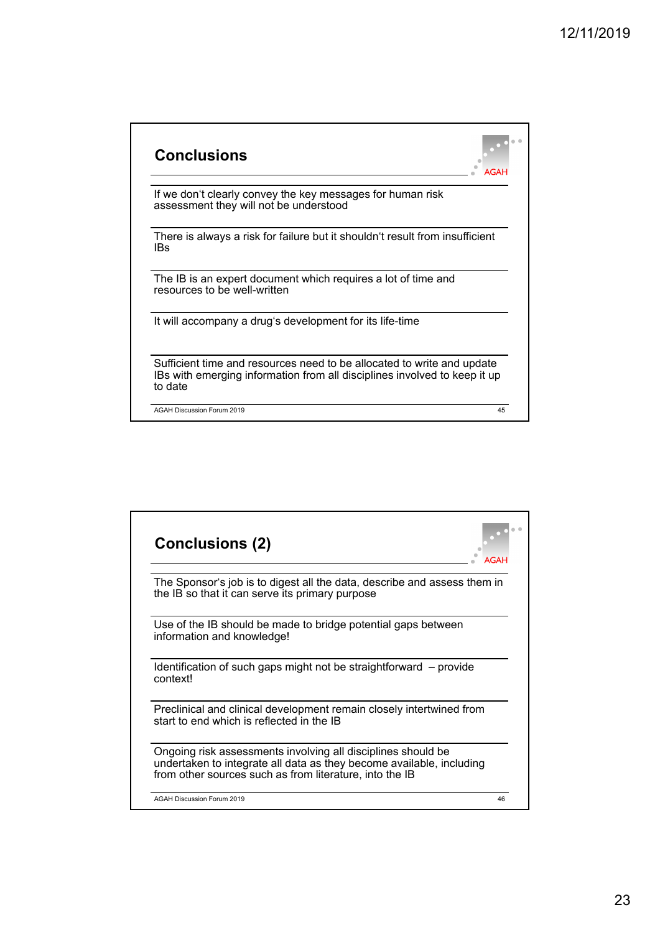| <b>Conclusions</b>                                                                                                                                             |    |
|----------------------------------------------------------------------------------------------------------------------------------------------------------------|----|
| If we don't clearly convey the key messages for human risk<br>assessment they will not be understood                                                           |    |
| There is always a risk for failure but it shouldn't result from insufficient<br>IBs                                                                            |    |
| The IB is an expert document which requires a lot of time and<br>resources to be well-written                                                                  |    |
| It will accompany a drug's development for its life-time                                                                                                       |    |
| Sufficient time and resources need to be allocated to write and update<br>IBs with emerging information from all disciplines involved to keep it up<br>to date |    |
| <b>AGAH Discussion Forum 2019</b>                                                                                                                              | 45 |

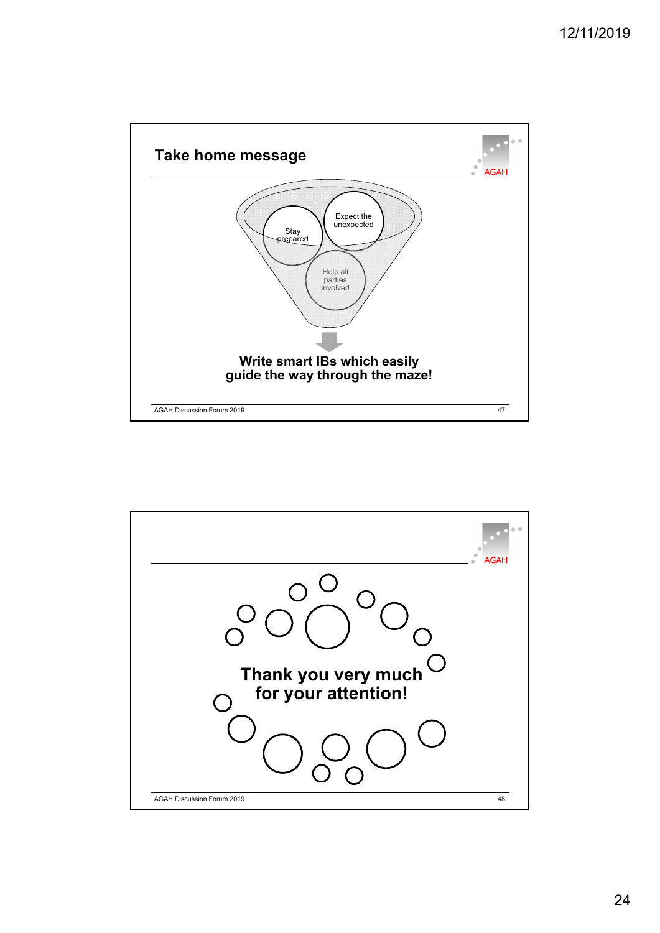

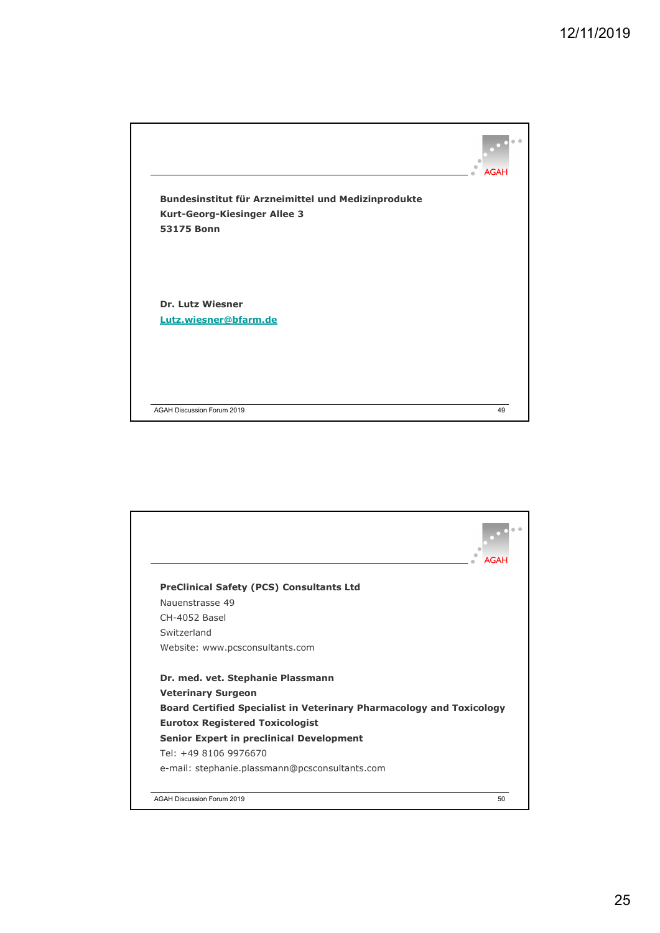



25